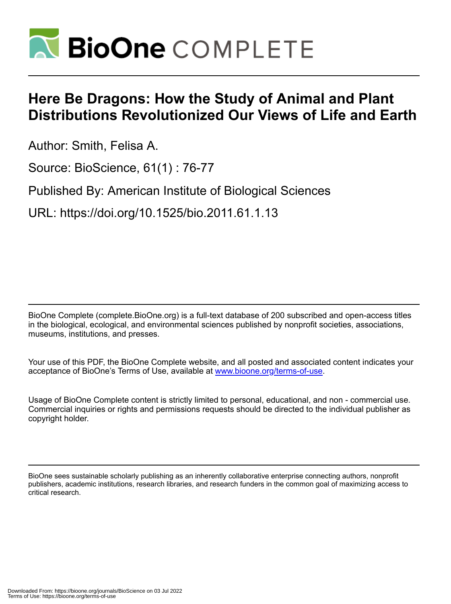

## **Here Be Dragons: How the Study of Animal and Plant Distributions Revolutionized Our Views of Life and Earth**

Author: Smith, Felisa A.

Source: BioScience, 61(1) : 76-77

Published By: American Institute of Biological Sciences

URL: https://doi.org/10.1525/bio.2011.61.1.13

BioOne Complete (complete.BioOne.org) is a full-text database of 200 subscribed and open-access titles in the biological, ecological, and environmental sciences published by nonprofit societies, associations, museums, institutions, and presses.

Your use of this PDF, the BioOne Complete website, and all posted and associated content indicates your acceptance of BioOne's Terms of Use, available at www.bioone.org/terms-of-use.

Usage of BioOne Complete content is strictly limited to personal, educational, and non - commercial use. Commercial inquiries or rights and permissions requests should be directed to the individual publisher as copyright holder.

BioOne sees sustainable scholarly publishing as an inherently collaborative enterprise connecting authors, nonprofit publishers, academic institutions, research libraries, and research funders in the common goal of maximizing access to critical research.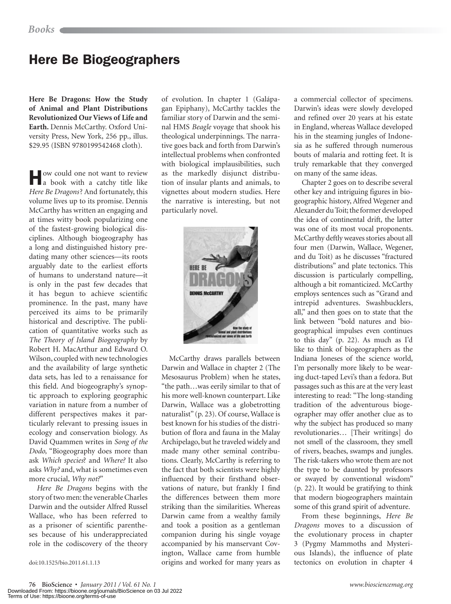## Here Be Biogeographers

**Here Be Dragons: How the Study of Animal and Plant Distributions Revolutionized Our Views of Life and Earth.** Dennis McCarthy. Oxford University Press, New York, 256 pp., illus. \$29.95 (ISBN 9780199542468 cloth).

How could one not want to review a book with a catchy title like *Here Be Dragons*? And fortunately, this volume lives up to its promise. Dennis McCarthy has written an engaging and at times witty book popularizing one of the fastest-growing biological disciplines. Although biogeography has a long and distinguished history predating many other sciences—its roots arguably date to the earliest efforts of humans to understand nature—it is only in the past few decades that it has begun to achieve scientific prominence. In the past, many have perceived its aims to be primarily historical and descriptive. The publication of quantitative works such as *The Theory of Island Biogeography* by Robert H. MacArthur and Edward O. Wilson, coupled with new technologies and the availability of large synthetic data sets, has led to a renaissance for this field. And biogeography's synoptic approach to exploring geographic variation in nature from a number of different perspectives makes it particularly relevant to pressing issues in ecology and conservation biology. As David Quammen writes in *Song of the Dodo,* "Biogeography does more than ask *Which species*? and *Where?* It also asks *Why?* and, what is sometimes even more crucial, *Why not?*"

*Here Be Dragons* begins with the story of two men: the venerable Charles Darwin and the outsider Alfred Russel Wallace, who has been referred to as a prisoner of scientific parentheses because of his underappreciated role in the codiscovery of the theory

doi:10.1525/bio.2011.61.1.13

of evolution. In chapter 1 (Galápagan Epiphany), McCarthy tackles the familiar story of Darwin and the seminal HMS *Beagle* voyage that shook his theological underpinnings. The narrative goes back and forth from Darwin's intellectual problems when confronted with biological implausibilities, such as the markedly disjunct distribution of insular plants and animals, to vignettes about modern studies. Here the narrative is interesting, but not particularly novel.



McCarthy draws parallels between Darwin and Wallace in chapter 2 (The Mesosaurus Problem) when he states, "the path…was eerily similar to that of his more well-known counterpart. Like Darwin, Wallace was a globetrotting naturalist" (p. 23). Of course, Wallace is best known for his studies of the distribution of flora and fauna in the Malay Archipelago, but he traveled widely and made many other seminal contributions. Clearly, McCarthy is referring to the fact that both scientists were highly influenced by their firsthand observations of nature, but frankly I find the differences between them more striking than the similarities. Whereas Darwin came from a wealthy family and took a position as a gentleman companion during his single voyage accompanied by his manservant Covington, Wallace came from humble origins and worked for many years as a commercial collector of specimens. Darwin's ideas were slowly developed and refined over 20 years at his estate in England, whereas Wallace developed his in the steaming jungles of Indonesia as he suffered through numerous bouts of malaria and rotting feet. It is truly remarkable that they converged on many of the same ideas.

Chapter 2 goes on to describe several other key and intriguing figures in biogeographic history, Alfred Wegener and Alexander du Toit; the former developed the idea of continental drift, the latter was one of its most vocal proponents. McCarthy deftly weaves stories about all four men (Darwin, Wallace, Wegener, and du Toit) as he discusses "fractured distributions" and plate tectonics. This discussion is particularly compelling, although a bit romanticized. McCarthy employs sentences such as "Grand and intrepid adventures. Swashbucklers, all," and then goes on to state that the link between "bold natures and biogeographical impulses even continues to this day" (p. 22)*.* As much as I'd like to think of biogeographers as the Indiana Joneses of the science world, I'm personally more likely to be wearing duct-taped Levi's than a fedora. But passages such as this are at the very least interesting to read: "The long-standing tradition of the adventurous biogeographer may offer another clue as to why the subject has produced so many revolutionaries… [Their writings] do not smell of the classroom, they smell of rivers, beaches, swamps and jungles. The risk-takers who wrote them are not the type to be daunted by professors or swayed by conventional wisdom" (p. 22). It would be gratifying to think that modern biogeographers maintain some of this grand spirit of adventure.

From these beginnings, *Here Be Dragons* moves to a discussion of the evolutionary process in chapter 3 (Pygmy Mammoths and Mysterious Islands), the influence of plate tectonics on evolution in chapter 4